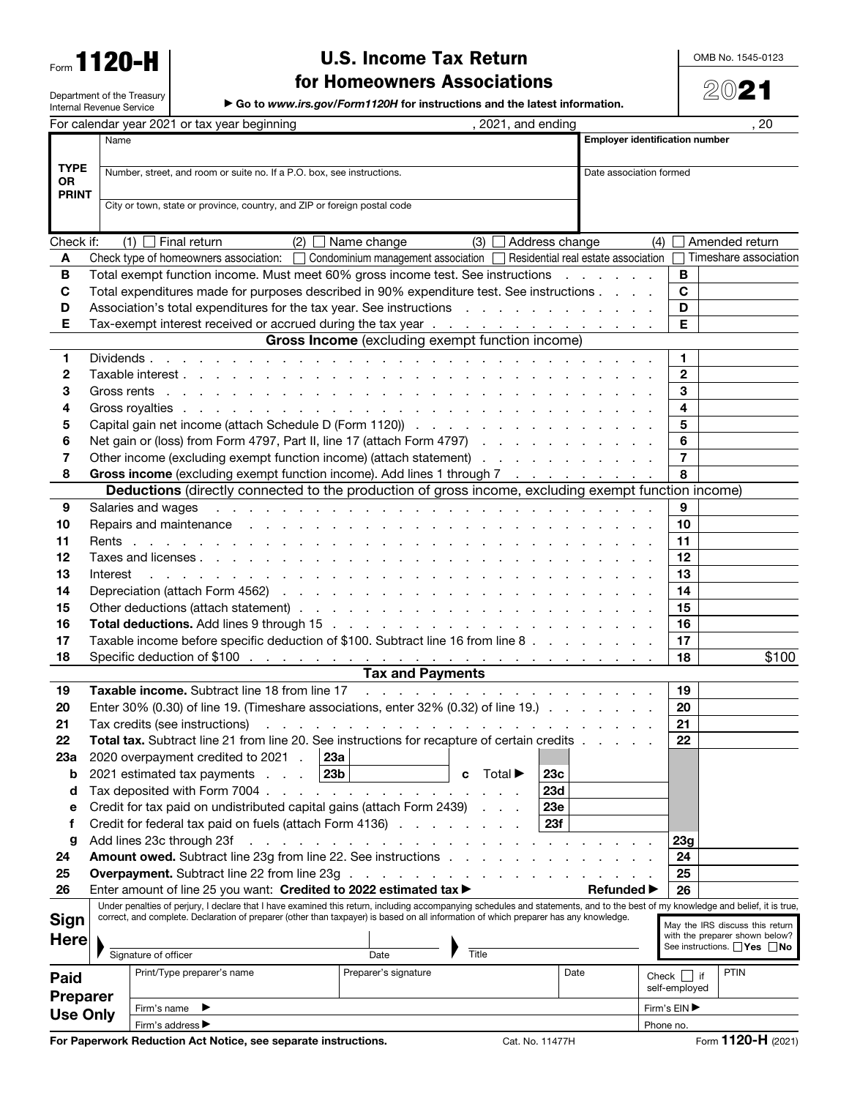Form **1120-H** 

Department of the Treasury

# U.S. Income Tax Return

OMB No. 1545-0123

2021

for Homeowners Associations

▶ Go to *www.irs.gov/Form1120H* for instructions and the latest information.

|                                                                          | Internal Revenue Service                                                                                                                                                                                                                                                                                                  |                                               |                                                                                                                                                                                                                                |  | Go to www.irs.gov/Form1120H for instructions and the latest information.                                                                                                                                                       |              |                  |                   |              |                |                                                                   |
|--------------------------------------------------------------------------|---------------------------------------------------------------------------------------------------------------------------------------------------------------------------------------------------------------------------------------------------------------------------------------------------------------------------|-----------------------------------------------|--------------------------------------------------------------------------------------------------------------------------------------------------------------------------------------------------------------------------------|--|--------------------------------------------------------------------------------------------------------------------------------------------------------------------------------------------------------------------------------|--------------|------------------|-------------------|--------------|----------------|-------------------------------------------------------------------|
|                                                                          |                                                                                                                                                                                                                                                                                                                           |                                               | For calendar year 2021 or tax year beginning                                                                                                                                                                                   |  |                                                                                                                                                                                                                                |              | 2021, and ending |                   |              |                | . 20                                                              |
|                                                                          |                                                                                                                                                                                                                                                                                                                           | <b>Employer identification number</b><br>Name |                                                                                                                                                                                                                                |  |                                                                                                                                                                                                                                |              |                  |                   |              |                |                                                                   |
|                                                                          |                                                                                                                                                                                                                                                                                                                           |                                               |                                                                                                                                                                                                                                |  |                                                                                                                                                                                                                                |              |                  |                   |              |                |                                                                   |
| <b>TYPE</b><br><b>OR</b>                                                 | Number, street, and room or suite no. If a P.O. box, see instructions.<br>Date association formed                                                                                                                                                                                                                         |                                               |                                                                                                                                                                                                                                |  |                                                                                                                                                                                                                                |              |                  |                   |              |                |                                                                   |
| <b>PRINT</b>                                                             |                                                                                                                                                                                                                                                                                                                           |                                               |                                                                                                                                                                                                                                |  |                                                                                                                                                                                                                                |              |                  |                   |              |                |                                                                   |
| City or town, state or province, country, and ZIP or foreign postal code |                                                                                                                                                                                                                                                                                                                           |                                               |                                                                                                                                                                                                                                |  |                                                                                                                                                                                                                                |              |                  |                   |              |                |                                                                   |
|                                                                          |                                                                                                                                                                                                                                                                                                                           |                                               |                                                                                                                                                                                                                                |  |                                                                                                                                                                                                                                |              |                  |                   |              |                |                                                                   |
| Check if:                                                                |                                                                                                                                                                                                                                                                                                                           |                                               | $(1)$ Final return                                                                                                                                                                                                             |  | $(2)$ Name change                                                                                                                                                                                                              | $(3)$ $\Box$ | Address change   |                   | (4)          |                | Amended return                                                    |
| A                                                                        |                                                                                                                                                                                                                                                                                                                           |                                               | Check type of homeowners association: $\Box$ Condominium management association $\Box$ Residential real estate association                                                                                                     |  |                                                                                                                                                                                                                                |              |                  |                   |              |                | Timeshare association                                             |
| В                                                                        | Total exempt function income. Must meet 60% gross income test. See instructions                                                                                                                                                                                                                                           |                                               |                                                                                                                                                                                                                                |  |                                                                                                                                                                                                                                |              |                  |                   |              | B              |                                                                   |
| C                                                                        | Total expenditures made for purposes described in 90% expenditure test. See instructions                                                                                                                                                                                                                                  |                                               |                                                                                                                                                                                                                                |  |                                                                                                                                                                                                                                |              |                  |                   | $\mathbf{C}$ |                |                                                                   |
| D                                                                        | Association's total expenditures for the tax year. See instructions                                                                                                                                                                                                                                                       |                                               |                                                                                                                                                                                                                                |  |                                                                                                                                                                                                                                |              |                  |                   | D            |                |                                                                   |
| Е                                                                        | Tax-exempt interest received or accrued during the tax year                                                                                                                                                                                                                                                               |                                               |                                                                                                                                                                                                                                |  |                                                                                                                                                                                                                                |              |                  |                   |              | Е              |                                                                   |
| <b>Gross Income</b> (excluding exempt function income)                   |                                                                                                                                                                                                                                                                                                                           |                                               |                                                                                                                                                                                                                                |  |                                                                                                                                                                                                                                |              |                  |                   |              |                |                                                                   |
| 1                                                                        | Dividends<br>and a construction of the construction of the construction of the construction of the construction of the construction of the construction of the construction of the construction of the construction of the construction of                                                                                |                                               |                                                                                                                                                                                                                                |  |                                                                                                                                                                                                                                |              |                  |                   |              | 1.             |                                                                   |
| 2                                                                        |                                                                                                                                                                                                                                                                                                                           |                                               |                                                                                                                                                                                                                                |  |                                                                                                                                                                                                                                |              |                  |                   |              | $\mathbf{2}$   |                                                                   |
| 3                                                                        |                                                                                                                                                                                                                                                                                                                           |                                               |                                                                                                                                                                                                                                |  |                                                                                                                                                                                                                                |              |                  |                   | 3            |                |                                                                   |
| 4                                                                        |                                                                                                                                                                                                                                                                                                                           |                                               |                                                                                                                                                                                                                                |  |                                                                                                                                                                                                                                |              |                  |                   |              | 4              |                                                                   |
| 5                                                                        |                                                                                                                                                                                                                                                                                                                           |                                               |                                                                                                                                                                                                                                |  |                                                                                                                                                                                                                                |              |                  |                   |              | 5              |                                                                   |
| 6                                                                        |                                                                                                                                                                                                                                                                                                                           |                                               | Net gain or (loss) from Form 4797, Part II, line 17 (attach Form 4797)                                                                                                                                                         |  |                                                                                                                                                                                                                                |              |                  |                   |              | 6              |                                                                   |
| 7                                                                        |                                                                                                                                                                                                                                                                                                                           |                                               | Other income (excluding exempt function income) (attach statement)                                                                                                                                                             |  |                                                                                                                                                                                                                                |              |                  |                   |              | $\overline{7}$ |                                                                   |
| 8                                                                        |                                                                                                                                                                                                                                                                                                                           |                                               | Gross income (excluding exempt function income). Add lines 1 through 7                                                                                                                                                         |  |                                                                                                                                                                                                                                |              |                  |                   |              | 8              |                                                                   |
|                                                                          |                                                                                                                                                                                                                                                                                                                           |                                               | <b>Deductions</b> (directly connected to the production of gross income, excluding exempt function income)                                                                                                                     |  |                                                                                                                                                                                                                                |              |                  |                   |              |                |                                                                   |
| 9                                                                        | Salaries and wages                                                                                                                                                                                                                                                                                                        |                                               |                                                                                                                                                                                                                                |  | and the property of the property of the property of the property of the property of the property of the property of the property of the property of the property of the property of the property of the property of the proper |              |                  |                   |              | 9              |                                                                   |
| 10                                                                       |                                                                                                                                                                                                                                                                                                                           |                                               | Repairs and maintenance response to the contract of the contract of the contract of the contract of the contract of the contract of the contract of the contract of the contract of the contract of the contract of the contra |  |                                                                                                                                                                                                                                |              |                  |                   |              | 10             |                                                                   |
| 11                                                                       |                                                                                                                                                                                                                                                                                                                           |                                               |                                                                                                                                                                                                                                |  |                                                                                                                                                                                                                                |              |                  |                   |              | 11             |                                                                   |
| 12                                                                       |                                                                                                                                                                                                                                                                                                                           |                                               |                                                                                                                                                                                                                                |  |                                                                                                                                                                                                                                |              |                  |                   |              | 12             |                                                                   |
| 13                                                                       | Interest<br>and the contract of the contract of the contract of the contract of the contract of the contract of the contract of the contract of the contract of the contract of the contract of the contract of the contract of the contra                                                                                |                                               |                                                                                                                                                                                                                                |  |                                                                                                                                                                                                                                |              |                  |                   |              |                |                                                                   |
| 14                                                                       |                                                                                                                                                                                                                                                                                                                           |                                               |                                                                                                                                                                                                                                |  |                                                                                                                                                                                                                                |              |                  |                   |              | 14             |                                                                   |
| 15                                                                       |                                                                                                                                                                                                                                                                                                                           |                                               |                                                                                                                                                                                                                                |  |                                                                                                                                                                                                                                |              |                  |                   |              | 15             |                                                                   |
| 16                                                                       |                                                                                                                                                                                                                                                                                                                           |                                               |                                                                                                                                                                                                                                |  |                                                                                                                                                                                                                                |              |                  |                   |              | 16             |                                                                   |
| 17                                                                       | Taxable income before specific deduction of \$100. Subtract line 16 from line 8                                                                                                                                                                                                                                           |                                               |                                                                                                                                                                                                                                |  |                                                                                                                                                                                                                                |              |                  |                   | 17           |                |                                                                   |
| 18                                                                       |                                                                                                                                                                                                                                                                                                                           |                                               |                                                                                                                                                                                                                                |  |                                                                                                                                                                                                                                |              |                  |                   | 18           | \$100          |                                                                   |
|                                                                          |                                                                                                                                                                                                                                                                                                                           |                                               |                                                                                                                                                                                                                                |  | <b>Tax and Payments</b>                                                                                                                                                                                                        |              |                  |                   |              |                |                                                                   |
| 19                                                                       | Taxable income. Subtract line 18 from line 17<br>de la caractería de la caractería de la caractería                                                                                                                                                                                                                       |                                               |                                                                                                                                                                                                                                |  |                                                                                                                                                                                                                                |              |                  | 19                |              |                |                                                                   |
| 20                                                                       | Enter 30% (0.30) of line 19. (Timeshare associations, enter 32% (0.32) of line 19.)                                                                                                                                                                                                                                       |                                               |                                                                                                                                                                                                                                |  |                                                                                                                                                                                                                                |              |                  | 20                |              |                |                                                                   |
| 21                                                                       | Tax credits (see instructions) $\cdots$ $\cdots$                                                                                                                                                                                                                                                                          |                                               |                                                                                                                                                                                                                                |  |                                                                                                                                                                                                                                |              | 21               |                   |              |                |                                                                   |
| 22                                                                       | Total tax. Subtract line 21 from line 20. See instructions for recapture of certain credits.                                                                                                                                                                                                                              |                                               |                                                                                                                                                                                                                                |  |                                                                                                                                                                                                                                |              |                  | 22                |              |                |                                                                   |
| 23a                                                                      | 2020 overpayment credited to 2021 .<br>23a                                                                                                                                                                                                                                                                                |                                               |                                                                                                                                                                                                                                |  |                                                                                                                                                                                                                                |              |                  |                   |              |                |                                                                   |
| b                                                                        | 23 <sub>b</sub><br>2021 estimated tax payments<br>Total $\blacktriangleright$<br>23c<br>C                                                                                                                                                                                                                                 |                                               |                                                                                                                                                                                                                                |  |                                                                                                                                                                                                                                |              |                  |                   |              |                |                                                                   |
| d                                                                        | Tax deposited with Form 7004.<br>23d<br>and a straight and a straight and                                                                                                                                                                                                                                                 |                                               |                                                                                                                                                                                                                                |  |                                                                                                                                                                                                                                |              |                  |                   |              |                |                                                                   |
| е                                                                        | Credit for tax paid on undistributed capital gains (attach Form 2439)<br>23e                                                                                                                                                                                                                                              |                                               |                                                                                                                                                                                                                                |  |                                                                                                                                                                                                                                |              |                  |                   |              |                |                                                                   |
| f                                                                        | 23f<br>Credit for federal tax paid on fuels (attach Form 4136)                                                                                                                                                                                                                                                            |                                               |                                                                                                                                                                                                                                |  |                                                                                                                                                                                                                                |              |                  |                   |              |                |                                                                   |
| g                                                                        | Add lines 23c through 23f<br>a construction of the construction of the construction of the construction of the construction of the construction of the construction of the construction of the construction of the construction of the construction of the                                                                |                                               |                                                                                                                                                                                                                                |  |                                                                                                                                                                                                                                |              |                  |                   |              | 23g            |                                                                   |
| 24                                                                       |                                                                                                                                                                                                                                                                                                                           |                                               | Amount owed. Subtract line 23g from line 22. See instructions .                                                                                                                                                                |  |                                                                                                                                                                                                                                |              |                  |                   |              | 24             |                                                                   |
| 25                                                                       |                                                                                                                                                                                                                                                                                                                           |                                               | <b>Overpayment.</b> Subtract line 22 from line 23g                                                                                                                                                                             |  |                                                                                                                                                                                                                                |              |                  |                   |              | 25             |                                                                   |
| 26                                                                       |                                                                                                                                                                                                                                                                                                                           |                                               | Enter amount of line 25 you want: Credited to 2022 estimated tax >                                                                                                                                                             |  |                                                                                                                                                                                                                                |              |                  | <b>Refunded</b> ▶ |              | 26             |                                                                   |
|                                                                          | Under penalties of perjury, I declare that I have examined this return, including accompanying schedules and statements, and to the best of my knowledge and belief, it is true,<br>correct, and complete. Declaration of preparer (other than taxpayer) is based on all information of which preparer has any knowledge. |                                               |                                                                                                                                                                                                                                |  |                                                                                                                                                                                                                                |              |                  |                   |              |                |                                                                   |
| Sign                                                                     |                                                                                                                                                                                                                                                                                                                           |                                               |                                                                                                                                                                                                                                |  |                                                                                                                                                                                                                                |              |                  |                   |              |                | May the IRS discuss this return<br>with the preparer shown below? |
| <b>Here</b>                                                              |                                                                                                                                                                                                                                                                                                                           |                                               |                                                                                                                                                                                                                                |  |                                                                                                                                                                                                                                |              |                  |                   |              |                | See instructions. $\Box$ Yes $\Box$ No                            |
|                                                                          |                                                                                                                                                                                                                                                                                                                           | Signature of officer                          |                                                                                                                                                                                                                                |  | Date                                                                                                                                                                                                                           | Title        |                  |                   |              |                |                                                                   |
| Paid                                                                     |                                                                                                                                                                                                                                                                                                                           |                                               | Print/Type preparer's name                                                                                                                                                                                                     |  | Preparer's signature                                                                                                                                                                                                           |              |                  | Date              |              | $Check$        | <b>PTIN</b><br>if                                                 |
| <b>Preparer</b>                                                          |                                                                                                                                                                                                                                                                                                                           |                                               |                                                                                                                                                                                                                                |  |                                                                                                                                                                                                                                |              |                  |                   |              | self-employed  |                                                                   |
| <b>Use Only</b>                                                          |                                                                                                                                                                                                                                                                                                                           | Firm's name                                   | ▸                                                                                                                                                                                                                              |  |                                                                                                                                                                                                                                |              |                  |                   |              | Firm's EIN ▶   |                                                                   |
|                                                                          |                                                                                                                                                                                                                                                                                                                           |                                               | Firm's address ▶                                                                                                                                                                                                               |  |                                                                                                                                                                                                                                |              |                  |                   |              | Phone no.      |                                                                   |

For Paperwork Reduction Act Notice, see separate instructions. Cat. No. 11477H Form 1120-H (2021)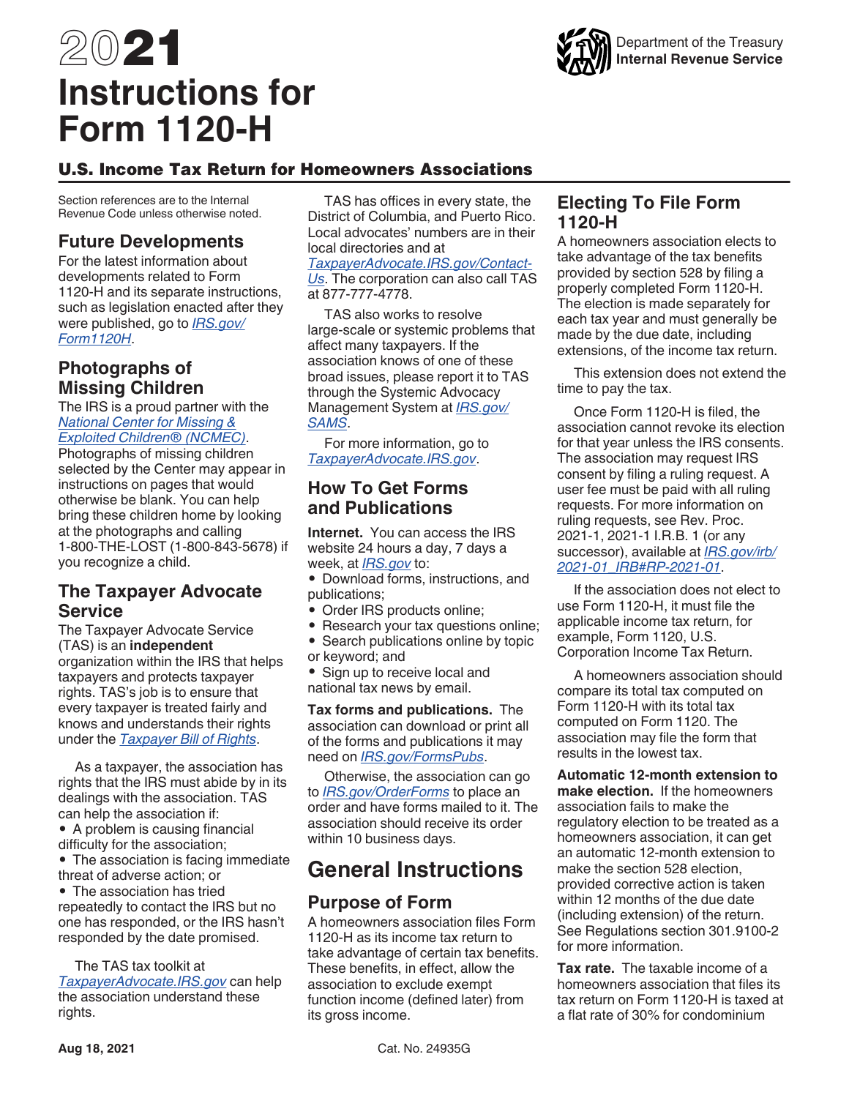# 2021 **Instructions for Form 1120-H**



#### U.S. Income Tax Return for Homeowners Associations

Section references are to the Internal Revenue Code unless otherwise noted.

#### **Future Developments**

For the latest information about developments related to Form 1120-H and its separate instructions, such as legislation enacted after they were published, go to *[IRS.gov/](https://www.irs.gov/form1120h) [Form1120H](https://www.irs.gov/form1120h)*.

## **Photographs of Missing Children**

The IRS is a proud partner with the *[National Center for Missing &](http://www.missingkids.com) [Exploited Children® \(NCMEC\)](http://www.missingkids.com)*.

Photographs of missing children selected by the Center may appear in instructions on pages that would otherwise be blank. You can help bring these children home by looking at the photographs and calling 1-800-THE-LOST (1-800-843-5678) if you recognize a child.

#### **The Taxpayer Advocate Service**

The Taxpayer Advocate Service (TAS) is an **independent**  organization within the IRS that helps taxpayers and protects taxpayer rights. TAS's job is to ensure that every taxpayer is treated fairly and knows and understands their rights under the *[Taxpayer Bill of Rights](https://taxpayeradvocate.irs.gov/About-TAS/Taxpayer-Rights)*.

As a taxpayer, the association has rights that the IRS must abide by in its dealings with the association. TAS can help the association if:

• A problem is causing financial difficulty for the association;

• The association is facing immediate threat of adverse action; or

• The association has tried repeatedly to contact the IRS but no one has responded, or the IRS hasn't responded by the date promised.

The TAS tax toolkit at *[TaxpayerAdvocate.IRS.gov](https://irs.gov/taxpayer-advocate)* can help the association understand these rights.

TAS has offices in every state, the District of Columbia, and Puerto Rico. Local advocates' numbers are in their local directories and at

*[TaxpayerAdvocate.IRS.gov/Contact-](https://www.irs.gov/advocate/local-taxpayer-advocate)[Us](https://www.irs.gov/advocate/local-taxpayer-advocate)*. The corporation can also call TAS at 877-777-4778.

TAS also works to resolve large-scale or systemic problems that affect many taxpayers. If the association knows of one of these broad issues, please report it to TAS through the Systemic Advocacy Management System at *[IRS.gov/](https://www.irs.gov/sams) [SAMS](https://www.irs.gov/sams)*.

For more information, go to *[TaxpayerAdvocate.IRS.gov](https://www.irs.gov/advocate)*.

#### **How To Get Forms and Publications**

**Internet.** You can access the IRS website 24 hours a day, 7 days a week, at *[IRS.gov](https://www.irs.gov/)* to:

• Download forms, instructions, and publications;

- Order IRS products online;
- Research your tax questions online;
- Search publications online by topic or keyword; and
- Sign up to receive local and
- national tax news by email.

**Tax forms and publications.** The association can download or print all of the forms and publications it may need on *[IRS.gov/FormsPubs](https://www.irs.gov/formspubs)*.

Otherwise, the association can go to *[IRS.gov/OrderForms](https://www.irs.gov/orderforms)* to place an order and have forms mailed to it. The association should receive its order within 10 business days.

# **General Instructions**

#### **Purpose of Form**

A homeowners association files Form 1120-H as its income tax return to take advantage of certain tax benefits. These benefits, in effect, allow the association to exclude exempt function income (defined later) from its gross income.

#### **Electing To File Form 1120-H**

A homeowners association elects to take advantage of the tax benefits provided by section 528 by filing a properly completed Form 1120-H. The election is made separately for each tax year and must generally be made by the due date, including extensions, of the income tax return.

This extension does not extend the time to pay the tax.

Once Form 1120-H is filed, the association cannot revoke its election for that year unless the IRS consents. The association may request IRS consent by filing a ruling request. A user fee must be paid with all ruling requests. For more information on ruling requests, see Rev. Proc. 2021-1, 2021-1 I.R.B. 1 (or any successor), available at *[IRS.gov/irb/](https://www.irs.gov/irb/2021-01_IRB#REV-PROC-2021-1) [2021-01\\_IRB#RP-2021-01](https://www.irs.gov/irb/2021-01_IRB#REV-PROC-2021-1)*.

If the association does not elect to use Form 1120-H, it must file the applicable income tax return, for example, Form 1120, U.S. Corporation Income Tax Return.

A homeowners association should compare its total tax computed on Form 1120-H with its total tax computed on Form 1120. The association may file the form that results in the lowest tax.

**Automatic 12-month extension to make election.** If the homeowners association fails to make the regulatory election to be treated as a homeowners association, it can get an automatic 12-month extension to make the section 528 election, provided corrective action is taken within 12 months of the due date (including extension) of the return. See Regulations section 301.9100-2 for more information.

**Tax rate.** The taxable income of a homeowners association that files its tax return on Form 1120-H is taxed at a flat rate of 30% for condominium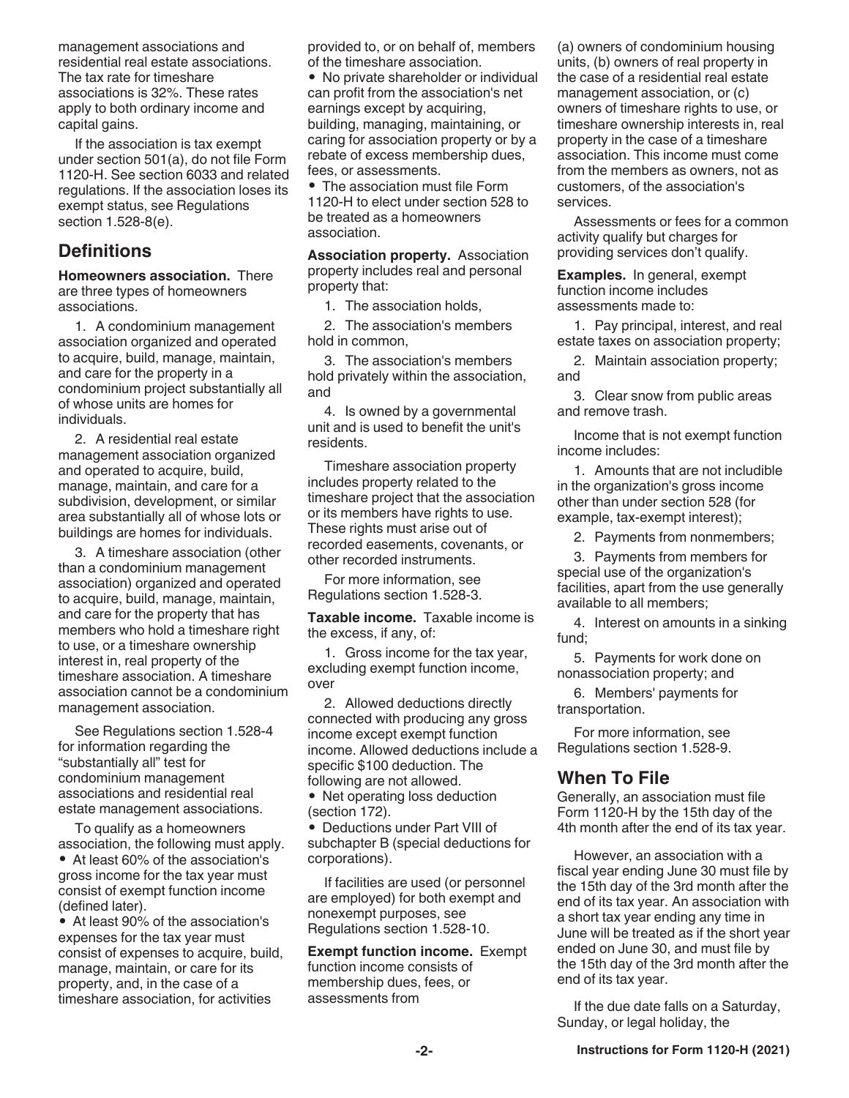management associations and residential real estate associations. The tax rate for timeshare associations is 32%. These rates apply to both ordinary income and capital gains.

If the association is tax exempt under section 501(a), do not file Form 1120-H. See section 6033 and related regulations. If the association loses its exempt status, see Regulations section 1.528-8(e).

#### **Definitions**

**Homeowners association.** There are three types of homeowners associations.

1. A condominium management association organized and operated to acquire, build, manage, maintain, and care for the property in a condominium project substantially all of whose units are homes for individuals.

2. A residential real estate management association organized and operated to acquire, build, manage, maintain, and care for a subdivision, development, or similar area substantially all of whose lots or buildings are homes for individuals.

3. A timeshare association (other than a condominium management association) organized and operated to acquire, build, manage, maintain, and care for the property that has members who hold a timeshare right to use, or a timeshare ownership interest in, real property of the timeshare association. A timeshare association cannot be a condominium management association.

See Regulations section 1.528-4 for information regarding the "substantially all" test for condominium management associations and residential real estate management associations.

To qualify as a homeowners association, the following must apply. • At least 60% of the association's gross income for the tax year must consist of exempt function income (defined later).

• At least 90% of the association's expenses for the tax year must consist of expenses to acquire, build, manage, maintain, or care for its property, and, in the case of a timeshare association, for activities

provided to, or on behalf of, members of the timeshare association.

• No private shareholder or individual can profit from the association's net earnings except by acquiring, building, managing, maintaining, or caring for association property or by a rebate of excess membership dues, fees, or assessments.

• The association must file Form 1120-H to elect under section 528 to be treated as a homeowners association.

**Association property.** Association property includes real and personal property that:

1. The association holds,

2. The association's members hold in common,

3. The association's members hold privately within the association, and

4. Is owned by a governmental unit and is used to benefit the unit's residents.

Timeshare association property includes property related to the timeshare project that the association or its members have rights to use. These rights must arise out of recorded easements, covenants, or other recorded instruments.

For more information, see Regulations section 1.528-3.

**Taxable income.** Taxable income is the excess, if any, of:

1. Gross income for the tax year, excluding exempt function income, over

2. Allowed deductions directly connected with producing any gross income except exempt function income. Allowed deductions include a specific \$100 deduction. The following are not allowed.

• Net operating loss deduction (section 172).

• Deductions under Part VIII of subchapter B (special deductions for corporations).

If facilities are used (or personnel are employed) for both exempt and nonexempt purposes, see Regulations section 1.528-10.

**Exempt function income.** Exempt function income consists of membership dues, fees, or assessments from

(a) owners of condominium housing units, (b) owners of real property in the case of a residential real estate management association, or (c) owners of timeshare rights to use, or timeshare ownership interests in, real property in the case of a timeshare association. This income must come from the members as owners, not as customers, of the association's services.

Assessments or fees for a common activity qualify but charges for providing services don't qualify.

**Examples.** In general, exempt function income includes assessments made to:

1. Pay principal, interest, and real estate taxes on association property;

2. Maintain association property; and

3. Clear snow from public areas and remove trash.

Income that is not exempt function income includes:

1. Amounts that are not includible in the organization's gross income other than under section 528 (for example, tax-exempt interest);

2. Payments from nonmembers;

3. Payments from members for special use of the organization's facilities, apart from the use generally available to all members;

4. Interest on amounts in a sinking fund;

5. Payments for work done on nonassociation property; and

6. Members' payments for transportation.

For more information, see Regulations section 1.528-9.

#### **When To File**

Generally, an association must file Form 1120-H by the 15th day of the 4th month after the end of its tax year.

However, an association with a fiscal year ending June 30 must file by the 15th day of the 3rd month after the end of its tax year. An association with a short tax year ending any time in June will be treated as if the short year ended on June 30, and must file by the 15th day of the 3rd month after the end of its tax year.

If the due date falls on a Saturday, Sunday, or legal holiday, the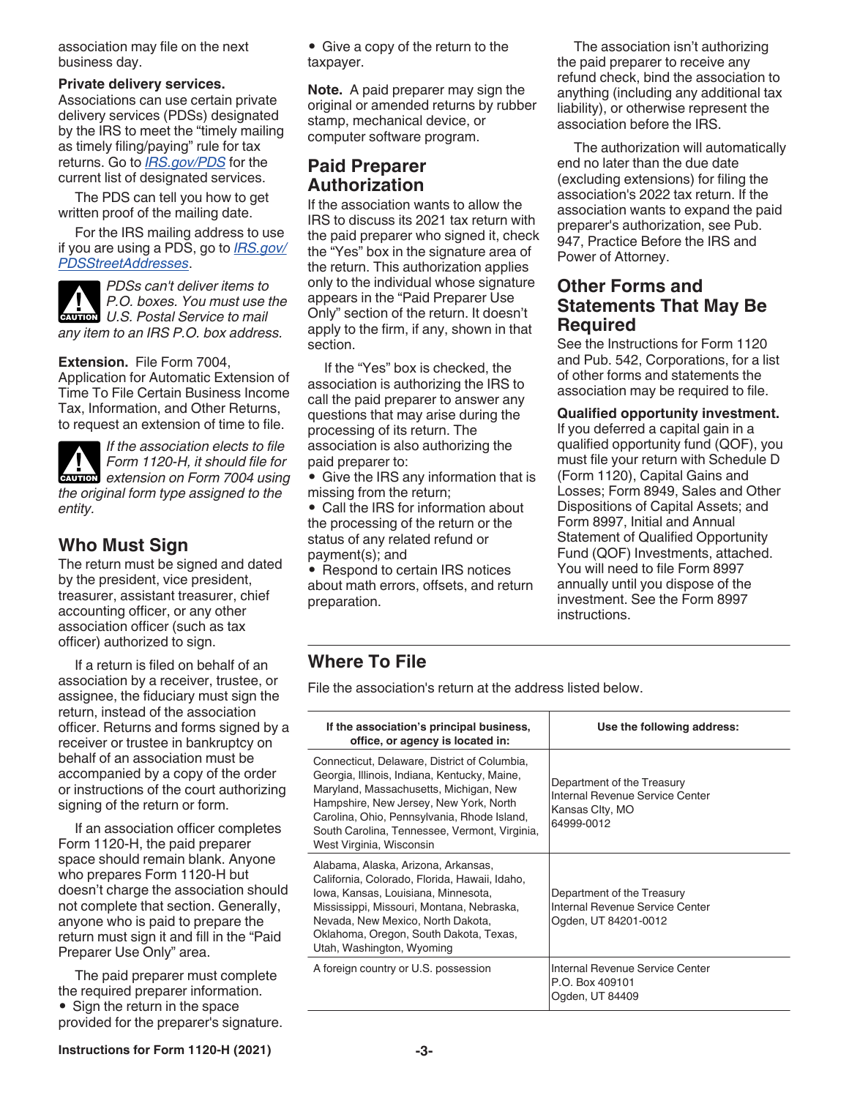association may file on the next business day.

#### **Private delivery services.**

Associations can use certain private delivery services (PDSs) designated by the IRS to meet the "timely mailing as timely filing/paying" rule for tax returns. Go to *[IRS.gov/PDS](https://www.irs.gov/pds)* for the current list of designated services.

The PDS can tell you how to get written proof of the mailing date.

For the IRS mailing address to use if you are using a PDS, go to *[IRS.gov/](https://www.irs.gov/pdsstreetaddresses) [PDSStreetAddresses](https://www.irs.gov/pdsstreetaddresses)*.

*PDSs can't deliver items to P.O. boxes. You must use the*  **P.O. boxes. You must use to mail**<br> **U.S. Postal Service to mail** *any item to an IRS P.O. box address.*

#### **Extension.** File Form 7004,

Application for Automatic Extension of Time To File Certain Business Income Tax, Information, and Other Returns, to request an extension of time to file.

*If the association elects to file Form 1120-H, it should file for*  **Form 1120-H, it should file for<br>extension on Form 7004 using** *the original form type assigned to the entity.*

#### **Who Must Sign**

The return must be signed and dated by the president, vice president, treasurer, assistant treasurer, chief accounting officer, or any other association officer (such as tax officer) authorized to sign.

If a return is filed on behalf of an association by a receiver, trustee, or assignee, the fiduciary must sign the return, instead of the association officer. Returns and forms signed by a receiver or trustee in bankruptcy on behalf of an association must be accompanied by a copy of the order or instructions of the court authorizing signing of the return or form.

If an association officer completes Form 1120-H, the paid preparer space should remain blank. Anyone who prepares Form 1120-H but doesn't charge the association should not complete that section. Generally, anyone who is paid to prepare the return must sign it and fill in the "Paid Preparer Use Only" area.

The paid preparer must complete the required preparer information. • Sign the return in the space provided for the preparer's signature. • Give a copy of the return to the taxpayer.

**Note.** A paid preparer may sign the original or amended returns by rubber stamp, mechanical device, or computer software program.

#### **Paid Preparer Authorization**

If the association wants to allow the IRS to discuss its 2021 tax return with the paid preparer who signed it, check the "Yes" box in the signature area of the return. This authorization applies only to the individual whose signature appears in the "Paid Preparer Use Only" section of the return. It doesn't apply to the firm, if any, shown in that section.

If the "Yes" box is checked, the association is authorizing the IRS to call the paid preparer to answer any questions that may arise during the processing of its return. The association is also authorizing the paid preparer to:

• Give the IRS any information that is missing from the return;

• Call the IRS for information about the processing of the return or the status of any related refund or payment(s); and

• Respond to certain IRS notices about math errors, offsets, and return preparation.

The association isn't authorizing the paid preparer to receive any refund check, bind the association to anything (including any additional tax liability), or otherwise represent the association before the IRS.

The authorization will automatically end no later than the due date (excluding extensions) for filing the association's 2022 tax return. If the association wants to expand the paid preparer's authorization, see Pub. 947, Practice Before the IRS and Power of Attorney.

#### **Other Forms and Statements That May Be Required**

See the Instructions for Form 1120 and Pub. 542, Corporations, for a list of other forms and statements the association may be required to file.

**Qualified opportunity investment.** 

If you deferred a capital gain in a qualified opportunity fund (QOF), you must file your return with Schedule D (Form 1120), Capital Gains and Losses; Form 8949, Sales and Other Dispositions of Capital Assets; and Form 8997, Initial and Annual Statement of Qualified Opportunity Fund (QOF) Investments, attached. You will need to file Form 8997 annually until you dispose of the investment. See the Form 8997 instructions.

#### **Where To File**

File the association's return at the address listed below.

| If the association's principal business,<br>office, or agency is located in:                                                                                                                                                                                                                                 | Use the following address:                                                                     |
|--------------------------------------------------------------------------------------------------------------------------------------------------------------------------------------------------------------------------------------------------------------------------------------------------------------|------------------------------------------------------------------------------------------------|
| Connecticut, Delaware, District of Columbia,<br>Georgia, Illinois, Indiana, Kentucky, Maine,<br>Maryland, Massachusetts, Michigan, New<br>Hampshire, New Jersey, New York, North<br>Carolina, Ohio, Pennsylvania, Rhode Island,<br>South Carolina, Tennessee, Vermont, Virginia,<br>West Virginia, Wisconsin | Department of the Treasury<br>Internal Revenue Service Center<br>Kansas Clty, MO<br>64999-0012 |
| Alabama, Alaska, Arizona, Arkansas,<br>California, Colorado, Florida, Hawaii, Idaho,<br>Iowa, Kansas, Louisiana, Minnesota,<br>Mississippi, Missouri, Montana, Nebraska,<br>Nevada, New Mexico, North Dakota,<br>Oklahoma, Oregon, South Dakota, Texas,<br>Utah, Washington, Wyoming                         | Department of the Treasury<br>Internal Revenue Service Center<br>Ogden, UT 84201-0012          |
| A foreign country or U.S. possession                                                                                                                                                                                                                                                                         | Internal Revenue Service Center<br>P.O. Box 409101<br>Ogden, UT 84409                          |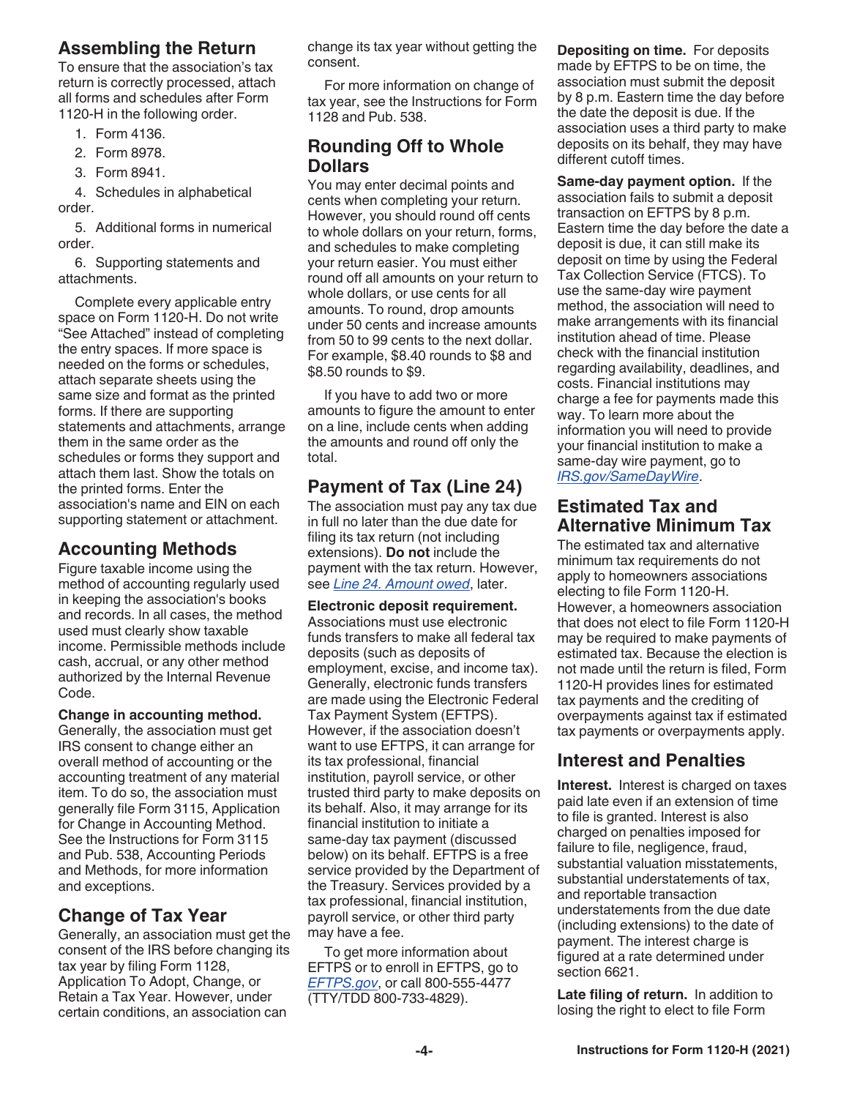## **Assembling the Return**

To ensure that the association's tax return is correctly processed, attach all forms and schedules after Form 1120-H in the following order.

- 1. Form 4136.
- 2. Form 8978.
- 3. Form 8941.

4. Schedules in alphabetical order.

5. Additional forms in numerical order.

6. Supporting statements and attachments.

Complete every applicable entry space on Form 1120-H. Do not write "See Attached" instead of completing the entry spaces. If more space is needed on the forms or schedules, attach separate sheets using the same size and format as the printed forms. If there are supporting statements and attachments, arrange them in the same order as the schedules or forms they support and attach them last. Show the totals on the printed forms. Enter the association's name and EIN on each supporting statement or attachment.

#### **Accounting Methods**

Figure taxable income using the method of accounting regularly used in keeping the association's books and records. In all cases, the method used must clearly show taxable income. Permissible methods include cash, accrual, or any other method authorized by the Internal Revenue Code.

**Change in accounting method.**  Generally, the association must get IRS consent to change either an overall method of accounting or the accounting treatment of any material item. To do so, the association must generally file Form 3115, Application for Change in Accounting Method. See the Instructions for Form 3115 and Pub. 538, Accounting Periods and Methods, for more information and exceptions.

#### **Change of Tax Year**

Generally, an association must get the consent of the IRS before changing its tax year by filing Form 1128, Application To Adopt, Change, or Retain a Tax Year. However, under certain conditions, an association can

change its tax year without getting the consent.

For more information on change of tax year, see the Instructions for Form 1128 and Pub. 538.

#### **Rounding Off to Whole Dollars**

You may enter decimal points and cents when completing your return. However, you should round off cents to whole dollars on your return, forms, and schedules to make completing your return easier. You must either round off all amounts on your return to whole dollars, or use cents for all amounts. To round, drop amounts under 50 cents and increase amounts from 50 to 99 cents to the next dollar. For example, \$8.40 rounds to \$8 and \$8.50 rounds to \$9.

If you have to add two or more amounts to figure the amount to enter on a line, include cents when adding the amounts and round off only the total.

## **Payment of Tax (Line 24)**

The association must pay any tax due in full no later than the due date for filing its tax return (not including extensions). **Do not** include the payment with the tax return. However, see *Line 24. Amount owed*, later.

**Electronic deposit requirement.** 

Associations must use electronic funds transfers to make all federal tax deposits (such as deposits of employment, excise, and income tax). Generally, electronic funds transfers are made using the Electronic Federal Tax Payment System (EFTPS). However, if the association doesn't want to use EFTPS, it can arrange for its tax professional, financial institution, payroll service, or other trusted third party to make deposits on its behalf. Also, it may arrange for its financial institution to initiate a same-day tax payment (discussed below) on its behalf. EFTPS is a free service provided by the Department of the Treasury. Services provided by a tax professional, financial institution, payroll service, or other third party may have a fee.

To get more information about EFTPS or to enroll in EFTPS, go to *[EFTPS.gov](https://www.eftps.gov)*, or call 800-555-4477 (TTY/TDD 800-733-4829).

**Depositing on time.** For deposits made by EFTPS to be on time, the association must submit the deposit by 8 p.m. Eastern time the day before the date the deposit is due. If the association uses a third party to make deposits on its behalf, they may have different cutoff times.

**Same-day payment option.** If the association fails to submit a deposit transaction on EFTPS by 8 p.m. Eastern time the day before the date a deposit is due, it can still make its deposit on time by using the Federal Tax Collection Service (FTCS). To use the same-day wire payment method, the association will need to make arrangements with its financial institution ahead of time. Please check with the financial institution regarding availability, deadlines, and costs. Financial institutions may charge a fee for payments made this way. To learn more about the information you will need to provide your financial institution to make a same-day wire payment, go to *[IRS.gov/SameDayWire](https://www.irs.gov/uac/same-day-wire-federal-tax-payments)*.

## **Estimated Tax and Alternative Minimum Tax**

The estimated tax and alternative minimum tax requirements do not apply to homeowners associations electing to file Form 1120-H. However, a homeowners association that does not elect to file Form 1120-H may be required to make payments of estimated tax. Because the election is not made until the return is filed, Form 1120-H provides lines for estimated tax payments and the crediting of overpayments against tax if estimated tax payments or overpayments apply.

## **Interest and Penalties**

**Interest.** Interest is charged on taxes paid late even if an extension of time to file is granted. Interest is also charged on penalties imposed for failure to file, negligence, fraud, substantial valuation misstatements, substantial understatements of tax, and reportable transaction understatements from the due date (including extensions) to the date of payment. The interest charge is figured at a rate determined under section 6621.

**Late filing of return.** In addition to losing the right to elect to file Form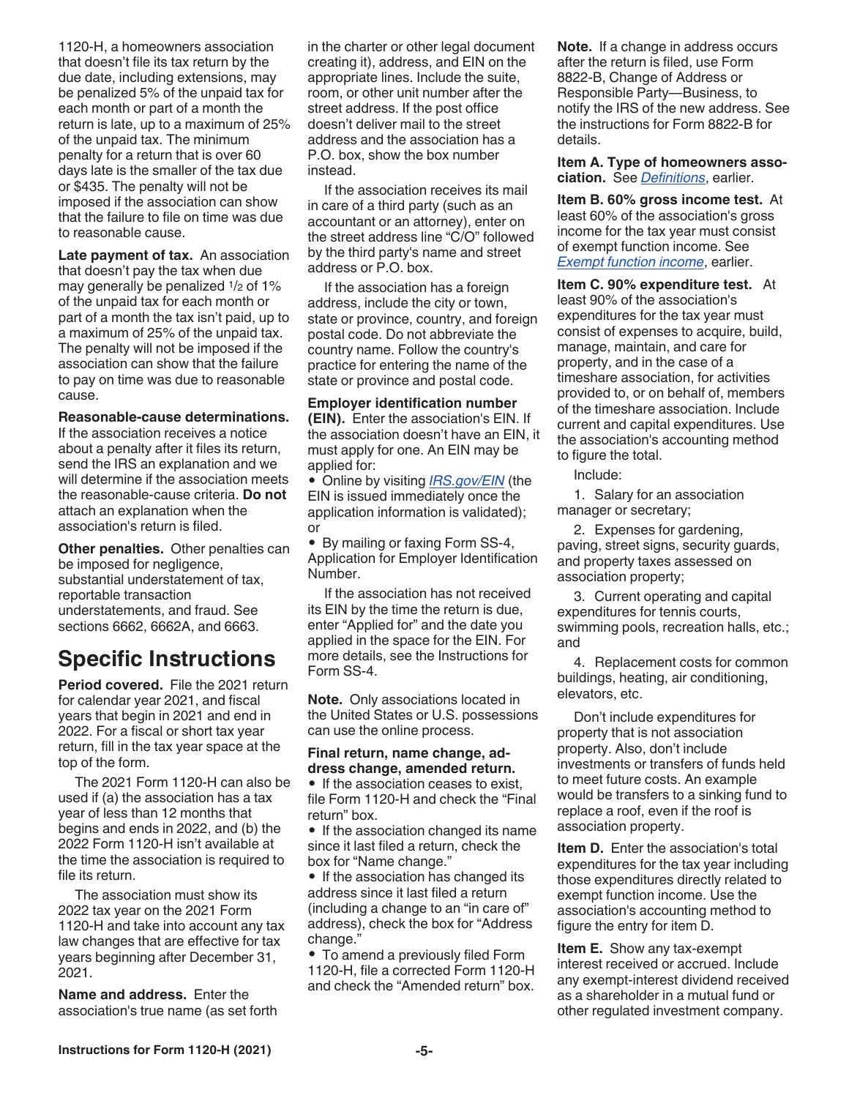1120-H, a homeowners association that doesn't file its tax return by the due date, including extensions, may be penalized 5% of the unpaid tax for each month or part of a month the return is late, up to a maximum of 25% of the unpaid tax. The minimum penalty for a return that is over 60 days late is the smaller of the tax due or \$435. The penalty will not be imposed if the association can show that the failure to file on time was due to reasonable cause.

Late payment of tax. An association that doesn't pay the tax when due may generally be penalized 1/2 of 1% of the unpaid tax for each month or part of a month the tax isn't paid, up to a maximum of 25% of the unpaid tax. The penalty will not be imposed if the association can show that the failure to pay on time was due to reasonable cause.

#### **Reasonable-cause determinations.**

If the association receives a notice about a penalty after it files its return, send the IRS an explanation and we will determine if the association meets the reasonable-cause criteria. **Do not**  attach an explanation when the association's return is filed.

**Other penalties.** Other penalties can be imposed for negligence, substantial understatement of tax, reportable transaction understatements, and fraud. See sections 6662, 6662A, and 6663.

## **Specific Instructions**

**Period covered.** File the 2021 return for calendar year 2021, and fiscal years that begin in 2021 and end in 2022. For a fiscal or short tax year return, fill in the tax year space at the top of the form.

The 2021 Form 1120-H can also be used if (a) the association has a tax year of less than 12 months that begins and ends in 2022, and (b) the 2022 Form 1120-H isn't available at the time the association is required to file its return.

The association must show its 2022 tax year on the 2021 Form 1120-H and take into account any tax law changes that are effective for tax years beginning after December 31, 2021.

**Name and address.** Enter the association's true name (as set forth in the charter or other legal document creating it), address, and EIN on the appropriate lines. Include the suite, room, or other unit number after the street address. If the post office doesn't deliver mail to the street address and the association has a P.O. box, show the box number instead.

If the association receives its mail in care of a third party (such as an accountant or an attorney), enter on the street address line "C/O" followed by the third party's name and street address or P.O. box.

If the association has a foreign address, include the city or town, state or province, country, and foreign postal code. Do not abbreviate the country name. Follow the country's practice for entering the name of the state or province and postal code.

**Employer identification number (EIN).** Enter the association's EIN. If the association doesn't have an EIN, it must apply for one. An EIN may be applied for:

• Online by visiting *[IRS.gov/EIN](https://www.irs.gov/ein)* (the EIN is issued immediately once the application information is validated); or

• By mailing or faxing Form SS-4, Application for Employer Identification Number.

If the association has not received its EIN by the time the return is due, enter "Applied for" and the date you applied in the space for the EIN. For more details, see the Instructions for Form SS-4.

**Note.** Only associations located in the United States or U.S. possessions can use the online process.

#### **Final return, name change, address change, amended return.**

• If the association ceases to exist, file Form 1120-H and check the "Final return" box.

• If the association changed its name since it last filed a return, check the box for "Name change."

• If the association has changed its address since it last filed a return (including a change to an "in care of" address), check the box for "Address change."

• To amend a previously filed Form 1120-H, file a corrected Form 1120-H and check the "Amended return" box. **Note.** If a change in address occurs after the return is filed, use Form 8822-B, Change of Address or Responsible Party—Business, to notify the IRS of the new address. See the instructions for Form 8822-B for details.

**Item A. Type of homeowners association.** See *Definitions*, earlier.

**Item B. 60% gross income test.** At least 60% of the association's gross income for the tax year must consist of exempt function income. See *Exempt function income*, earlier.

**Item C. 90% expenditure test.** At least 90% of the association's expenditures for the tax year must consist of expenses to acquire, build, manage, maintain, and care for property, and in the case of a timeshare association, for activities provided to, or on behalf of, members of the timeshare association. Include current and capital expenditures. Use the association's accounting method to figure the total.

Include:

1. Salary for an association manager or secretary;

2. Expenses for gardening, paving, street signs, security guards, and property taxes assessed on association property;

3. Current operating and capital expenditures for tennis courts, swimming pools, recreation halls, etc.; and

4. Replacement costs for common buildings, heating, air conditioning, elevators, etc.

Don't include expenditures for property that is not association property. Also, don't include investments or transfers of funds held to meet future costs. An example would be transfers to a sinking fund to replace a roof, even if the roof is association property.

**Item D.** Enter the association's total expenditures for the tax year including those expenditures directly related to exempt function income. Use the association's accounting method to figure the entry for item D.

**Item E.** Show any tax-exempt interest received or accrued. Include any exempt-interest dividend received as a shareholder in a mutual fund or other regulated investment company.